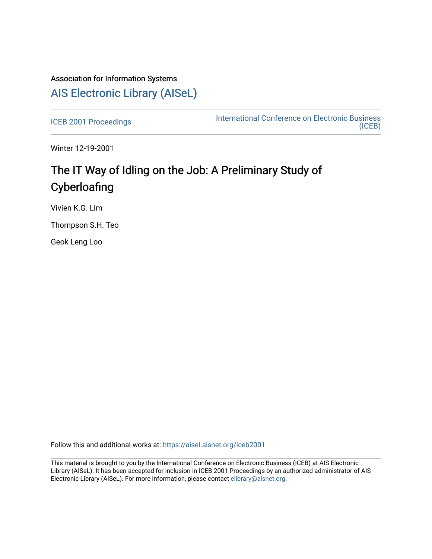# Association for Information Systems [AIS Electronic Library \(AISeL\)](https://aisel.aisnet.org/)

[ICEB 2001 Proceedings](https://aisel.aisnet.org/iceb2001) **International Conference on Electronic Business** [\(ICEB\)](https://aisel.aisnet.org/iceb) 

Winter 12-19-2001

# The IT Way of Idling on the Job: A Preliminary Study of **Cyberloafing**

Vivien K.G. Lim

Thompson S.H. Teo

Geok Leng Loo

Follow this and additional works at: [https://aisel.aisnet.org/iceb2001](https://aisel.aisnet.org/iceb2001?utm_source=aisel.aisnet.org%2Ficeb2001%2F131&utm_medium=PDF&utm_campaign=PDFCoverPages)

This material is brought to you by the International Conference on Electronic Business (ICEB) at AIS Electronic Library (AISeL). It has been accepted for inclusion in ICEB 2001 Proceedings by an authorized administrator of AIS Electronic Library (AISeL). For more information, please contact [elibrary@aisnet.org.](mailto:elibrary@aisnet.org%3E)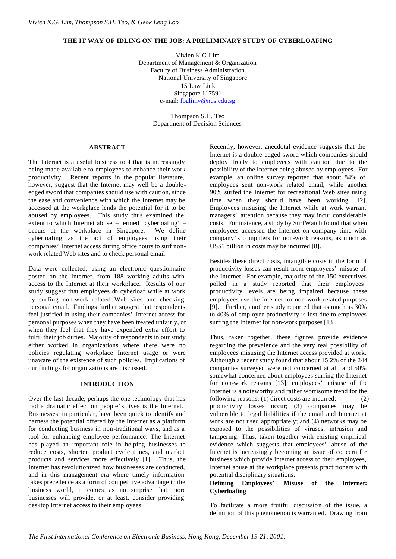#### **THE IT WAY OF IDLING ON THE JOB: A PRELIMINARY STUDY OF CYBERLOAFING**

Vivien K.G Lim Department of Management & Organization Faculty of Business Administration National University of Singapore 15 Law Link Singapore 117591 e-mail: fbalimv@nus.edu.sg

> Thompson S.H. Teo Department of Decision Sciences

#### **ABSTRACT**

The Internet is a useful business tool that is increasingly being made available to employees to enhance their work productivity. Recent reports in the popular literature, however, suggest that the Internet may well be a doubleedged sword that companies should use with caution, since the ease and convenience with which the Internet may be accessed at the workplace lends the potential for it to be abused by employees. This study thus examined the extent to which Internet abuse – termed 'cyberloafing' – occurs at the workplace in Singapore. We define cyberloafing as the act of employees using their companies' Internet access during office hours to surf nonwork related Web sites and to check personal email.

Data were collected, using an electronic questionnaire posted on the Internet, from 188 working adults with access to the Internet at their workplace. Results of our study suggest that employees do cyberloaf while at work by surfing non-work related Web sites and checking personal email. Findings further suggest that respondents feel justified in using their companies' Internet access for personal purposes when they have been treated unfairly, or when they feel that they have expended extra effort to fulfil their job duties. Majority of respondents in our study either worked in organizations where there were no policies regulating workplace Internet usage or were unaware of the existence of such policies. Implications of our findings for organizations are discussed.

#### **INTRODUCTION**

Over the last decade, perhaps the one technology that has had a dramatic effect on people's lives is the Internet. Businesses, in particular, have been quick to identify and harness the potential offered by the Internet as a platform for conducting business in non-traditional ways, and as a tool for enhancing employee performance. The Internet has played an important role in helping businesses to reduce costs, shorten product cycle times, and market products and services more effectively [1]. Thus, the Internet has revolutionized how businesses are conducted, and in this management era where timely information takes precedence as a form of competitive advantage in the business world, it comes as no surprise that more businesses will provide, or at least, consider providing desktop Internet access to their employees.

Recently, however, anecdotal evidence suggests that the Internet is a double-edged sword which companies should deploy freely to employees with caution due to the possibility of the Internet being abused by employees. For example, an online survey reported that about 84% of employees sent non-work related email, while another 90% surfed the Internet for recreational Web sites using time when they should have been working [12]. Employees misusing the Internet while at work warrant managers' attention because they may incur considerable costs. For instance, a study by SurfWatch found that when employees accessed the Internet on company time with company's computers for non-work reasons, as much as US\$1 billion in costs may be incurred [8].

Besides these direct costs, intangible costs in the form of productivity losses can result from employees' misuse of the Internet. For example, majority of the 150 executives polled in a study reported that their employees' productivity levels are being impaired because these employees use the Internet for non-work related purposes [9]. Further, another study reported that as much as 30% to 40% of employee productivity is lost due to employees surfing the Internet for non-work purposes [13].

Thus, taken together, these figures provide evidence regarding the prevalence and the very real possibility of employees misusing the Internet access provided at work. Although a recent study found that about 15.2% of the 244 companies surveyed were not concerned at all, and 50% somewhat concerned about employees surfing the Internet for non-work reasons [13], employees' misuse of the Internet is a noteworthy and rather worrisome trend for the following reasons: (1) direct costs are incurred; (2) productivity losses occur; (3) companies may be vulnerable to legal liabilities if the email and Internet at work are not used appropriately; and (4) networks may be exposed to the possibilities of viruses, intrusion and tampering. Thus, taken together with existing empirical evidence which suggests that employees' abuse of the Internet is increasingly becoming an issue of concern for business which provide Internet access to their employees, Internet abuse at the workplace presents practitioners with potential disciplinary situations.

# **Defining Employees' Misuse of the Internet: Cyberloafing**

To facilitate a more fruitful discussion of the issue, a definition of this phenomenon is warranted. Drawing from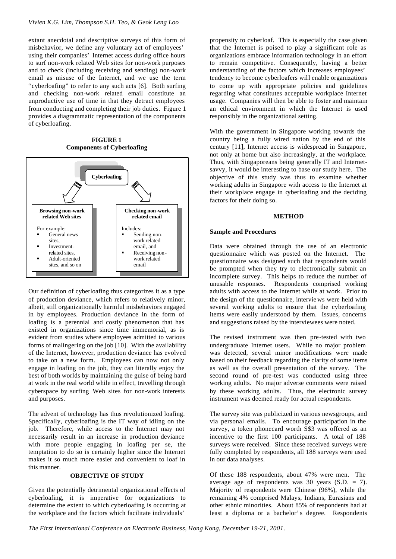extant anecdotal and descriptive surveys of this form of misbehavior, we define any voluntary act of employees' using their companies' Internet access during office hours to surf non-work related Web sites for non-work purposes and to check (including receiving and sending) non-work email as misuse of the Internet, and we use the term "cyberloafing" to refer to any such acts [6]. Both surfing and checking non-work related email constitute an unproductive use of time in that they detract employees from conducting and completing their job duties. Figure 1 provides a diagrammatic representation of the components of cyberloafing.

**FIGURE 1 Components of Cyberloafing**



Our definition of cyberloafing thus categorizes it as a type of production deviance, which refers to relatively minor, albeit, still organizationally harmful misbehaviors engaged in by employees. Production deviance in the form of loafing is a perennial and costly phenomenon that has existed in organizations since time immemorial, as is evident from studies where employees admitted to various forms of malingering on the job [10]. With the availability of the Internet, however, production deviance has evolved to take on a new form. Employees can now not only engage in loafing on the job, they can literally enjoy the best of both worlds by maintaining the guise of being hard at work in the real world while in effect, travelling through cyberspace by surfing Web sites for non-work interests and purposes.

The advent of technology has thus revolutionized loafing. Specifically, cyberloafing is the IT way of idling on the job. Therefore, while access to the Internet may not necessarily result in an increase in production deviance with more people engaging in loafing per se, the temptation to do so is certainly higher since the Internet makes it so much more easier and convenient to loaf in this manner.

# **OBJECTIVE OF STUDY**

Given the potentially detrimental organizational effects of cyberloafing, it is imperative for organizations to determine the extent to which cyberloafing is occurring at the workplace and the factors which facilitate individuals'

propensity to cyberloaf. This is especially the case given that the Internet is poised to play a significant role as organizations embrace information technology in an effort to remain competitive. Consequently, having a better understanding of the factors which increases employees' tendency to become cyberloafers will enable organizations to come up with appropriate policies and guidelines regarding what constitutes acceptable workplace Internet usage. Companies will then be able to foster and maintain an ethical environment in which the Internet is used responsibly in the organizational setting.

With the government in Singapore working towards the country being a fully wired nation by the end of this century [11], Internet access is widespread in Singapore, not only at home but also increasingly, at the workplace. Thus, with Singaporeans being generally IT and Internetsavvy, it would be interesting to base our study here. The objective of this study was thus to examine whether working adults in Singapore with access to the Internet at their workplace engage in cyberloafing and the deciding factors for their doing so.

#### **METHOD**

#### **Sample and Procedures**

Data were obtained through the use of an electronic questionnaire which was posted on the Internet. The questionnaire was designed such that respondents would be prompted when they try to electronically submit an incomplete survey. This helps to reduce the number of unusable responses. Respondents comprised working Respondents comprised working adults with access to the Internet while at work. Prior to the design of the questionnaire, intervie ws were held with several working adults to ensure that the cyberloafing items were easily understood by them. Issues, concerns and suggestions raised by the interviewees were noted.

The revised instrument was then pre-tested with two undergraduate Internet users. While no major problem was detected, several minor modifications were made based on their feedback regarding the clarity of some items as well as the overall presentation of the survey. The second round of pre-test was conducted using three working adults. No major adverse comments were raised by these working adults. Thus, the electronic survey instrument was deemed ready for actual respondents.

The survey site was publicized in various newsgroups, and via personal emails. To encourage participation in the survey, a token phonecard worth S\$3 was offered as an incentive to the first 100 participants. A total of 188 surveys were received. Since these received surveys were fully completed by respondents, all 188 surveys were used in our data analyses.

Of these 188 respondents, about 47% were men. The average age of respondents was 30 years  $(S.D. = 7)$ . Majority of respondents were Chinese (96%), while the remaining 4% comprised Malays, Indians, Eurasians and other ethnic minorities. About 85% of respondents had at least a diploma or a bachelor's degree. Respondents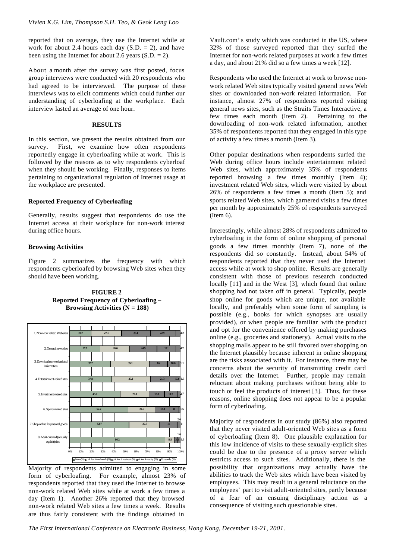reported that on average, they use the Internet while at work for about 2.4 hours each day  $(S.D. = 2)$ , and have been using the Internet for about 2.6 years  $(S.D. = 2)$ .

About a month after the survey was first posted, focus group interviews were conducted with 20 respondents who had agreed to be interviewed. The purpose of these interviews was to elicit comments which could further our understanding of cyberloafing at the workplace. Each interview lasted an average of one hour.

#### **RESULTS**

In this section, we present the results obtained from our survey. First, we examine how often respondents reportedly engage in cyberloafing while at work. This is followed by the reasons as to why respondents cyberloaf when they should be working. Finally, responses to items pertaining to organizational regulation of Internet usage at the workplace are presented.

# **Reported Frequency of Cyberloafing**

Generally, results suggest that respondents do use the Internet access at their workplace for non-work interest during office hours.

# **Browsing Activities**

Figure 2 summarizes the frequency with which respondents cyberloafed by browsing Web sites when they should have been working.





Majority of respondents admitted to engaging in some form of cyberloafing. For example, almost 23% of respondents reported that they used the Internet to browse non-work related Web sites while at work a few times a day (Item 1). Another 26% reported that they browsed non-work related Web sites a few times a week. Results are thus fairly consistent with the findings obtained in

Vault.com's study which was conducted in the US, where 32% of those surveyed reported that they surfed the Internet for non-work related purposes at work a few times a day, and about 21% did so a few times a week [12].

Respondents who used the Internet at work to browse nonwork related Web sites typically visited general news Web sites or downloaded non-work related information. For instance, almost 27% of respondents reported visiting general news sites, such as the Straits Times Interactive, a few times each month (Item 2). Pertaining to the downloading of non-work related information, another 35% of respondents reported that they engaged in this type of activity a few times a month (Item 3).

Other popular destinations when respondents surfed the Web during office hours include entertainment related Web sites, which approximately 35% of respondents reported browsing a few times monthly (Item 4); investment related Web sites, which were visited by about 26% of respondents a few times a month (Item 5); and sports related Web sites, which garnered visits a few times per month by approximately 25% of respondents surveyed  $(Item 6)$ .

Interestingly, while almost 28% of respondents admitted to cyberloafing in the form of online shopping of personal goods a few times monthly (Item 7), none of the respondents did so constantly. Instead, about 54% of respondents reported that they never used the Internet access while at work to shop online. Results are generally consistent with those of previous research conducted locally [11] and in the West [3], which found that online shopping had not taken off in general. Typically, people shop online for goods which are unique, not available locally, and preferably when some form of sampling is possible (e.g., books for which synopses are usually provided), or when people are familiar with the product and opt for the convenience offered by making purchases online (e.g., groceries and stationery). Actual visits to the shopping malls appear to be still favored over shopping on the Internet plausibly because inherent in online shopping are the risks associated with it. For instance, there may be concerns about the security of transmitting credit card details over the Internet. Further, people may remain reluctant about making purchases without being able to touch or feel the products of interest [3]. Thus, for these reasons, online shopping does not appear to be a popular form of cyberloafing.

Majority of respondents in our study (86%) also reported that they never visited adult-oriented Web sites as a form of cyberloafing (Item 8). One plausible explanation for this low incidence of visits to these sexually-explicit sites could be due to the presence of a proxy server which restricts access to such sites. Additionally, there is the possibility that organizations may actually have the abilities to track the Web sites which have been visited by employees. This may result in a general reluctance on the employees' part to visit adult-oriented sites, partly because of a fear of an ensuing disciplinary action as a consequence of visiting such questionable sites.

*The First International Conference on Electronic Business, Hong Kong, December 19-21, 2001.*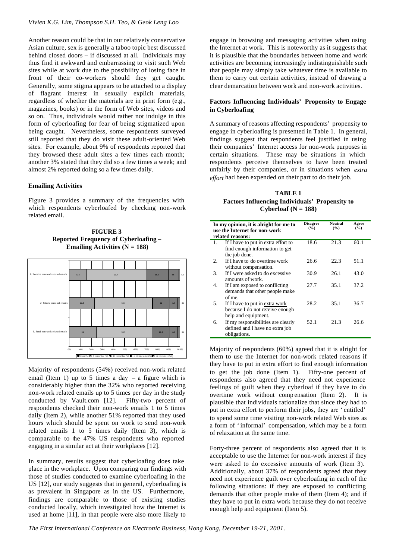Another reason could be that in our relatively conservative Asian culture, sex is generally a taboo topic best discussed behind closed doors – if discussed at all. Individuals may thus find it awkward and embarrassing to visit such Web sites while at work due to the possibility of losing face in front of their co-workers should they get caught. Generally, some stigma appears to be attached to a display of flagrant interest in sexually explicit materials, regardless of whether the materials are in print form (e.g., magazines, books) or in the form of Web sites, videos and so on. Thus, individuals would rather not indulge in this form of cyberloafing for fear of being stigmatized upon being caught. Nevertheless, some respondents surveyed still reported that they do visit these adult-oriented Web sites. For example, about 9% of respondents reported that they browsed these adult sites a few times each month; another 3% stated that they did so a few times a week; and almost 2% reported doing so a few times daily.

# **Emailing Activities**

Figure 3 provides a summary of the frequencies with which respondents cyberloafed by checking non-work related email.

**FIGURE 3 Reported Frequency of Cyberloafing – Emailing Activities (N = 188)**



Majority of respondents (54%) received non-work related email (Item 1) up to 5 times a day  $-$  a figure which is considerably higher than the 32% who reported receiving non-work related emails up to 5 times per day in the study conducted by Vault.com [12]. Fifty-two percent of respondents checked their non-work emails 1 to 5 times daily (Item 2), while another 51% reported that they used hours which should be spent on work to send non-work related emails 1 to 5 times daily (Item 3), which is comparable to the 47% US respondents who reported engaging in a similar act at their workplaces [12].

In summary, results suggest that cyberloafing does take place in the workplace. Upon comparing our findings with those of studies conducted to examine cyberloafing in the US [12], our study suggests that in general, cyberloafing is as prevalent in Singapore as in the US. Furthermore, findings are comparable to those of existing studies conducted locally, which investigated how the Internet is used at home [11], in that people were also more likely to

engage in browsing and messaging activities when using the Internet at work. This is noteworthy as it suggests that it is plausible that the boundaries between home and work activities are becoming increasingly indistinguishable such that people may simply take whatever time is available to them to carry out certain activities, instead of drawing a clear demarcation between work and non-work activities.

#### **Factors Influencing Individuals' Propensity to Engage in Cyberloafing**

A summary of reasons affecting respondents' propensity to engage in cyberloafing is presented in Table 1. In general, findings suggest that respondents feel justified in using their companies' Internet access for non-work purposes in certain situations. These may be situations in which respondents perceive themselves to have been treated unfairly by their companies, or in situations when *extra effort* had been expended on their part to do their job.

**TABLE 1 Factors Influencing Individuals' Propensity to Cyberloaf (N = 188)**

|    | In my opinion, it is alright for me to<br>use the Internet for non-work<br>related reasons: | <b>Disagree</b><br>$($ %) | <b>Neutral</b><br>(%) | Agree<br>(%) |
|----|---------------------------------------------------------------------------------------------|---------------------------|-----------------------|--------------|
| 1. | If I have to put in extra effort to<br>find enough information to get<br>the job done.      | 18.6                      | 21.3                  | 60.1         |
| 2. | If I have to do overtime work<br>without compensation.                                      | 26.6                      | 22.3                  | 51.1         |
| 3. | If I were asked to do excessive<br>amounts of work.                                         | 30.9                      | 26.1                  | 43.0         |
| 4. | If I am exposed to conflicting<br>demands that other people make<br>of me.                  | 27.7                      | 35.1                  | 37.2         |
| 5. | If I have to put in extra work<br>because I do not receive enough<br>help and equipment.    | 28.2                      | 35.1                  | 36.7         |
| 6. | If my responsibilities are clearly<br>defined and I have no extra job<br>obligations.       | 52.1                      | 21.3                  | 26.6         |

Majority of respondents (60%) agreed that it is alright for them to use the Internet for non-work related reasons if they have to put in extra effort to find enough information to get the job done (Item 1). Fifty-one percent of respondents also agreed that they need not experience feelings of guilt when they cyberloaf if they have to do overtime work without comp ensation (Item 2). It is plausible that individuals rationalize that since they had to put in extra effort to perform their jobs, they are 'entitled' to spend some time visiting non-work related Web sites as a form of 'informal' compensation, which may be a form of relaxation at the same time.

Forty-three percent of respondents also agreed that it is acceptable to use the Internet for non-work interest if they were asked to do excessive amounts of work (Item 3). Additionally, about 37% of respondents agreed that they need not experience guilt over cyberloafing in each of the following situations: if they are exposed to conflicting demands that other people make of them (Item 4); and if they have to put in extra work because they do not receive enough help and equipment (Item 5).

*The First International Conference on Electronic Business, Hong Kong, December 19-21, 2001.*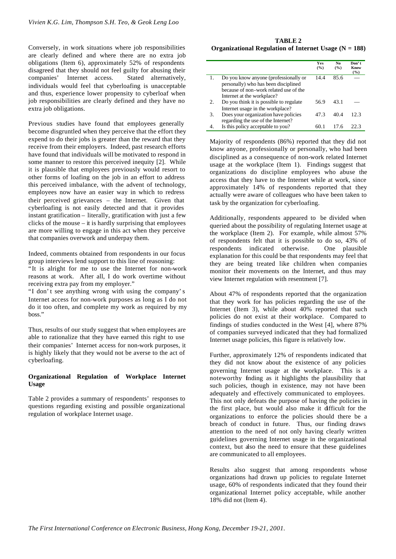Conversely, in work situations where job responsibilities are clearly defined and where there are no extra job obligations (Item 6), approximately 52% of respondents disagreed that they should not feel guilty for abusing their companies' Internet access. Stated alternatively, individuals would feel that cyberloafing is unacceptable and thus, experience lower propensity to cyberloaf when job responsibilities are clearly defined and they have no extra job obligations.

Previous studies have found that employees generally become disgruntled when they perceive that the effort they expend to do their jobs is greater than the reward that they receive from their employers. Indeed, past research efforts have found that individuals will be motivated to respond in some manner to restore this perceived inequity [2]. While it is plausible that employees previously would resort to other forms of loafing on the job in an effort to address this perceived imbalance, with the advent of technology, employees now have an easier way in which to redress their perceived grievances – the Internet. Given that cyberloafing is not easily detected and that it provides instant gratification – literally, gratification with just a few clicks of the mouse – it is hardly surprising that employees are more willing to engage in this act when they perceive that companies overwork and underpay them.

Indeed, comments obtained from respondents in our focus group interviews lend support to this line of reasoning:

"It is alright for me to use the Internet for non-work reasons at work. After all, I do work overtime without receiving extra pay from my employer."

"I don't see anything wrong with using the company's Internet access for non-work purposes as long as I do not do it too often, and complete my work as required by my boss."

Thus, results of our study suggest that when employees are able to rationalize that they have earned this right to use their companies' Internet access for non-work purposes, it is highly likely that they would not be averse to the act of cyberloafing.

# **Organizational Regulation of Workplace Internet Usage**

Table 2 provides a summary of respondents' responses to questions regarding existing and possible organizational regulation of workplace Internet usage.

**TABLE 2 Organizational Regulation of Internet Usage (N = 188)**

|    |                                                                               | <b>Yes</b><br>(%) | No.<br>$($ %) | Don't<br>Know<br>$($ %) |
|----|-------------------------------------------------------------------------------|-------------------|---------------|-------------------------|
|    | Do you know anyone (professionally or<br>personally) who has been disciplined | 14.4              | 85.6          |                         |
|    | because of non-work related use of the                                        |                   |               |                         |
|    | Internet at the workplace?                                                    |                   |               |                         |
|    | Do you think it is possible to regulate                                       | 56.9              | 43.1          |                         |
|    | Internet usage in the workplace?                                              |                   |               |                         |
| 3. | Does your organization have policies                                          | 47.3              | 40.4          | 12 3                    |
|    | regarding the use of the Internet?                                            |                   |               |                         |
|    | Is this policy acceptable to you?                                             |                   | 17.6          | ツツ 3                    |

Majority of respondents (86%) reported that they did not know anyone, professionally or personally, who had been disciplined as a consequence of non-work related Internet usage at the workplace (Item 1). Findings suggest that organizations do discipline employees who abuse the access that they have to the Internet while at work, since approximately 14% of respondents reported that they actually were aware of colleagues who have been taken to task by the organization for cyberloafing.

Additionally, respondents appeared to be divided when queried about the possibility of regulating Internet usage at the workplace (Item 2). For example, while almost 57% of respondents felt that it is possible to do so, 43% of respondents indicated otherwise. One plausible explanation for this could be that respondents may feel that they are being treated like children when companies monitor their movements on the Internet, and thus may view Internet regulation with resentment [7].

About 47% of respondents reported that the organization that they work for has policies regarding the use of the Internet (Item 3), while about 40% reported that such policies do not exist at their workplace. Compared to findings of studies conducted in the West [4], where 87% of companies surveyed indicated that they had formalized Internet usage policies, this figure is relatively low.

Further, approximately 12% of respondents indicated that they did not know about the existence of any policies governing Internet usage at the workplace. This is a noteworthy finding as it highlights the plausibility that such policies, though in existence, may not have been adequately and effectively communicated to employees. This not only defeats the purpose of having the policies in the first place, but would also make it difficult for the organizations to enforce the policies should there be a breach of conduct in future. Thus, our finding draws attention to the need of not only having clearly written guidelines governing Internet usage in the organizational context, but also the need to ensure that these guidelines are communicated to all employees.

Results also suggest that among respondents whose organizations had drawn up policies to regulate Internet usage, 60% of respondents indicated that they found their organizational Internet policy acceptable, while another 18% did not (Item 4).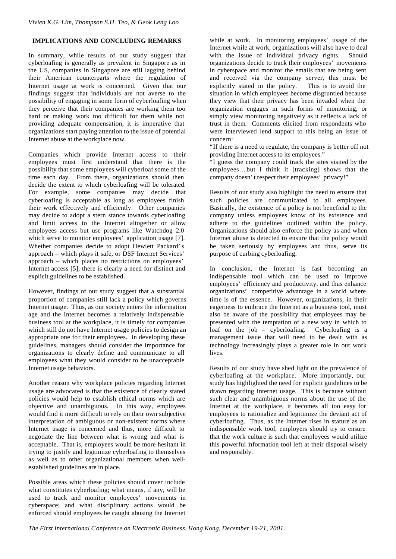# **IMPLICATIONS AND CONCLUDING REMARKS**

In summary, while results of our study suggest that cyberloafing is generally as prevalent in Singapore as in the US, companies in Singapore are still lagging behind their American counterparts where the regulation of Internet usage at work is concerned. Given that our findings suggest that individuals are not averse to the possibility of engaging in some form of cyberloafing when they perceive that their companies are working them too hard or making work too difficult for them while not providing adequate compensation, it is imperative that organizations start paying attention to the issue of potential Internet abuse at the workplace now.

Companies which provide Internet access to their employees must first understand that there is the possibility that some employees will cyberloaf some of the time each day. From there, organizations should then decide the extent to which cyberloafing will be tolerated. For example, some companies may decide that cyberloafing is acceptable as long as employees finish their work effectively and efficiently. Other companies may decide to adopt a stern stance towards cyberloafing and limit access to the Internet altogether or allow employees access but use programs like Watchdog 2.0 which serve to monitor employees' application usage [7]. Whether companies decide to adopt Hewlett Packard's approach – which plays it safe, or DSF Internet Services' approach – which places no restrictions on employees' Internet access [5], there is clearly a need for distinct and explicit guidelines to be established.

However, findings of our study suggest that a substantial proportion of companies still lack a policy which governs Internet usage. Thus, as our society enters the information age and the Internet becomes a relatively indispensable business tool at the workplace, it is timely for companies which still do not have Internet usage policies to design an appropriate one for their employees. In developing these guidelines, managers should consider the importance for organizations to clearly define and communicate to all employees what they would consider to be unacceptable Internet usage behaviors.

Another reason why workplace policies regarding Internet usage are advocated is that the existence of clearly stated policies would help to establish ethical norms which are objective and unambiguous. In this way, employees would find it more difficult to rely on their own subjective interpretation of ambiguous or non-existent norms where Internet usage is concerned and thus, more difficult to negotiate the line between what is wrong and what is acceptable. That is, employees would be more hesitant in trying to justify and legitimize cyberloafing to themselves as well as to other organizational members when wellestablished guidelines are in place.

Possible areas which these policies should cover include what constitutes cyberloafing; what means, if any, will be used to track and monitor employees' movements in cyberspace; and what disciplinary actions would be enforced should employees be caught abusing the Internet while at work. In monitoring employees' usage of the Internet while at work, organizations will also have to deal with the issue of individual privacy rights. Should organizations decide to track their employees' movements in cyberspace and monitor the emails that are being sent and received via the company server, this must be explicitly stated in the policy. This is to avoid the situation in which employees become disgruntled because they view that their privacy has been invaded when the organization engages in such forms of monitoring, or simply view monitoring negatively as it reflects a lack of trust in them. Comments elicited from respondents who were interviewed lend support to this being an issue of concern:

"If there is a need to regulate, the company is better off not providing Internet access to its employees."

"I guess the company could track the sites visited by the employees… but I think it (tracking) shows that the company doesn't respect their employees' privacy!"

Results of our study also highlight the need to ensure that such policies are communicated to all employees. Basically, the existence of a policy is not beneficial to the company unless employees know of its existence and adhere to the guidelines outlined within the policy. Organizations should also enforce the policy as and when Internet abuse is detected to ensure that the policy would be taken seriously by employees and thus, serve its purpose of curbing cyberloafing.

In conclusion, the Internet is fast becoming an indispensable tool which can be used to improve employees' efficiency and productivity, and thus enhance organizations' competitive advantage in a world where time is of the essence. However, organizations, in their eagerness to embrace the Internet as a business tool, must also be aware of the possibility that employees may be presented with the temptation of a new way in which to loaf on the job – cyberloafing. Cyberloafing is a management issue that will need to be dealt with as technology increasingly plays a greater role in our work lives.

Results of our study have shed light on the prevalence of cyberloafing at the workplace. More importantly, our study has highlighted the need for explicit guidelines to be drawn regarding Internet usage. This is because without such clear and unambiguous norms about the use of the Internet at the workplace, it becomes all too easy for employees to rationalize and legitimize the deviant act of cyberloafing. Thus, as the Internet rises in stature as an indispensable work tool, employers should try to ensure that the work culture is such that employees would utilize this powerful information tool left at their disposal wisely and responsibly.